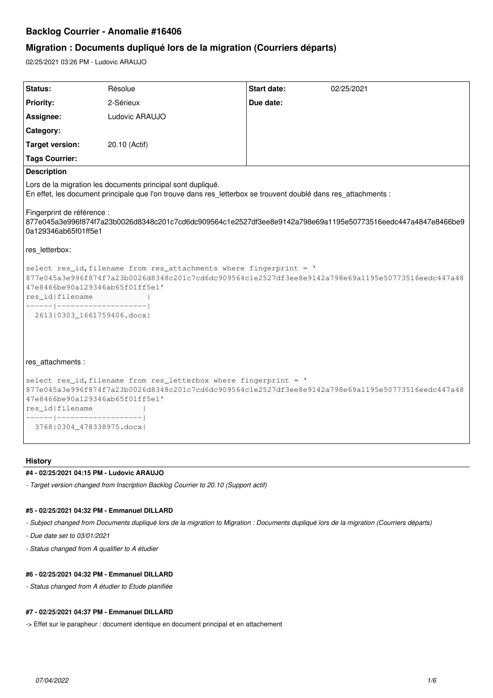# **Backlog Courrier - Anomalie #16406**

# **Migration : Documents dupliqué lors de la migration (Courriers départs)**

02/25/2021 03:26 PM - Ludovic ARAUJO

| <b>Status:</b>                                                                                                     | Résolue                                                                                                                                                                       | <b>Start date:</b> | 02/25/2021 |
|--------------------------------------------------------------------------------------------------------------------|-------------------------------------------------------------------------------------------------------------------------------------------------------------------------------|--------------------|------------|
| <b>Priority:</b>                                                                                                   | 2-Sérieux                                                                                                                                                                     | Due date:          |            |
| Assignee:                                                                                                          | Ludovic ARAUJO                                                                                                                                                                |                    |            |
| Category:                                                                                                          |                                                                                                                                                                               |                    |            |
| <b>Target version:</b>                                                                                             | 20.10 (Actif)                                                                                                                                                                 |                    |            |
| <b>Tags Courrier:</b>                                                                                              |                                                                                                                                                                               |                    |            |
| <b>Description</b>                                                                                                 |                                                                                                                                                                               |                    |            |
|                                                                                                                    | Lors de la migration les documents principal sont dupliqué.<br>En effet, les document principale que l'on trouve dans res letterbox se trouvent doublé dans res attachments : |                    |            |
| Fingerprint de référence :<br>0a129346ab65f01ff5e1                                                                 | l877e045a3e996f874f7a23b0026d8348c201c7cd6dc909564c1e2527df3ee8e9142a798e69a1195e50773516eedc447a4847e8466be9                                                                 |                    |            |
| res_letterbox:                                                                                                     |                                                                                                                                                                               |                    |            |
| 47e8466be90a129346ab65f01ff5e1'<br>res_id filename<br>------ --------------------- <br>2613   0303_1661759406.docx | select res_id, filename from res_attachments where fingerprint = '<br>877e045a3e996f874f7a23b0026d8348c201c7cd6dc909564c1e2527df3ee8e9142a798e69a1195e50773516eedc447a48      |                    |            |
| res attachments :                                                                                                  |                                                                                                                                                                               |                    |            |
| 47e8466be90a129346ab65f01ff5e1'<br>res_id filename<br>------ ------------------- <br>376810304 478338975.docxl     | select res_id, filename from res_letterbox where fingerprint = '<br>877e045a3e996f874f7a23b0026d8348c201c7cd6dc909564c1e2527df3ee8e9142a798e69a1195e50773516eedc447a48        |                    |            |

# **History**

# **#4 - 02/25/2021 04:15 PM - Ludovic ARAUJO**

*- Target version changed from Inscription Backlog Courrier to 20.10 (Support actif)*

# **#5 - 02/25/2021 04:32 PM - Emmanuel DILLARD**

*- Subject changed from Documents dupliqué lors de la migration to Migration : Documents dupliqué lors de la migration (Courriers départs)*

- *Due date set to 03/01/2021*
- *Status changed from A qualifier to A étudier*

## **#6 - 02/25/2021 04:32 PM - Emmanuel DILLARD**

*- Status changed from A étudier to Etude planifiée*

### **#7 - 02/25/2021 04:37 PM - Emmanuel DILLARD**

-> Effet sur le parapheur : document identique en document principal et en attachement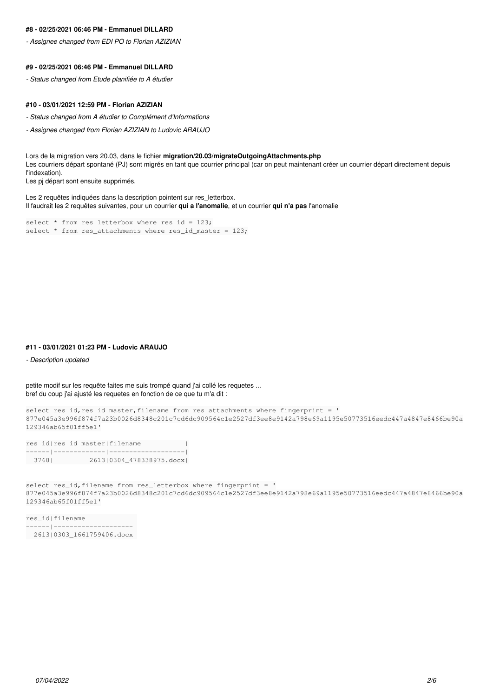### **#8 - 02/25/2021 06:46 PM - Emmanuel DILLARD**

*- Assignee changed from EDI PO to Florian AZIZIAN*

#### **#9 - 02/25/2021 06:46 PM - Emmanuel DILLARD**

*- Status changed from Etude planifiée to A étudier*

### **#10 - 03/01/2021 12:59 PM - Florian AZIZIAN**

- *Status changed from A étudier to Complément d'Informations*
- *Assignee changed from Florian AZIZIAN to Ludovic ARAUJO*

Lors de la migration vers 20.03, dans le fichier **migration/20.03/migrateOutgoingAttachments.php** Les courriers départ spontané (PJ) sont migrés en tant que courrier principal (car on peut maintenant créer un courrier départ directement depuis l'indexation).

Les pj départ sont ensuite supprimés.

Les 2 requêtes indiquées dans la description pointent sur res letterbox. Il faudrait les 2 requêtes suivantes, pour un courrier **qui a l'anomalie**, et un courrier **qui n'a pas** l'anomalie

```
select * from res_letterbox where res_id = 123;
select * from res_attachments where res_id_master = 123;
```
### **#11 - 03/01/2021 01:23 PM - Ludovic ARAUJO**

*- Description updated*

petite modif sur les requête faites me suis trompé quand j'ai collé les requetes ... bref du coup j'ai ajusté les requetes en fonction de ce que tu m'a dit :

```
select res_id,res_id_master,filename from res_attachments where fingerprint = '
877e045a3e996f874f7a23b0026d8348c201c7cd6dc909564c1e2527df3ee8e9142a798e69a1195e50773516eedc447a4847e8466be90a
129346ab65f01ff5e1'
```

|       | res_id res_id_master filename |  |
|-------|-------------------------------|--|
|       |                               |  |
| 37681 | 2613 0304_478338975.docx      |  |

select res\_id, filename from res\_letterbox where fingerprint = ' 877e045a3e996f874f7a23b0026d8348c201c7cd6dc909564c1e2527df3ee8e9142a798e69a1195e50773516eedc447a4847e8466be90a 129346ab65f01ff5e1'

```
res_id|filename            |
------|--------------------|
   2613|0303_1661759406.docx|
```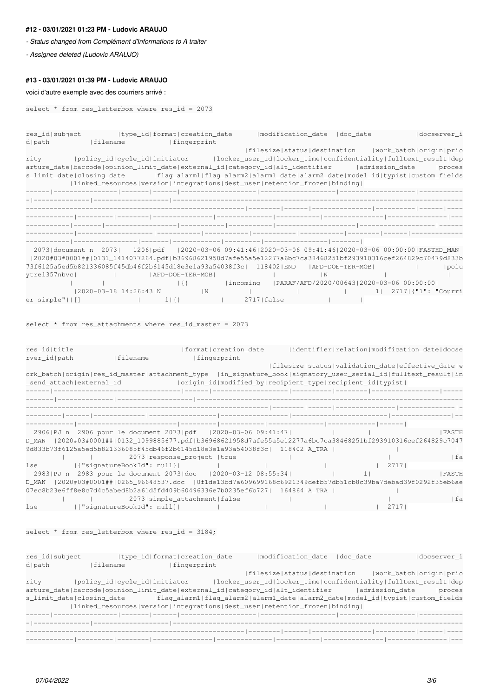### **#12 - 03/01/2021 01:23 PM - Ludovic ARAUJO**

*- Status changed from Complément d'Informations to A traiter*

*- Assignee deleted (Ludovic ARAUJO)*

### **#13 - 03/01/2021 01:39 PM - Ludovic ARAUJO**

#### voici d'autre exemple avec des courriers arrivé :

```
select * from res_letterbox where res_id = 2073
```
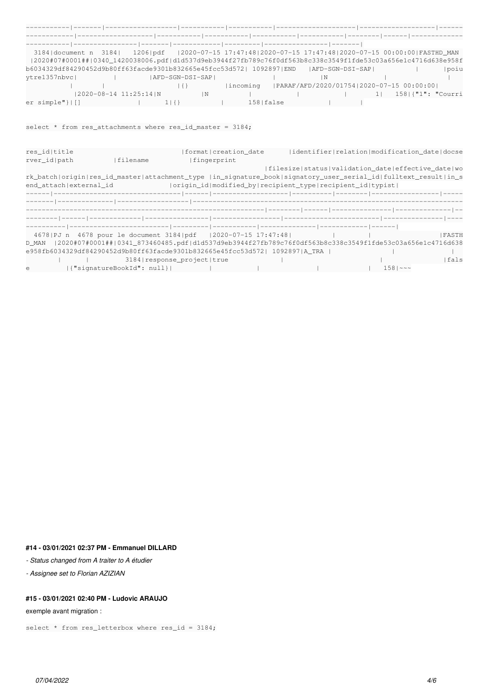| 3184 document n 3184                                                                                         |  | 1206 pdf  2020-07-15 17:47:48 2020-07-15 17:47:48 2020-07-15 00:00:00 FASTHD_MAN |                 |              |           |             |                                          |  |  |                      |
|--------------------------------------------------------------------------------------------------------------|--|----------------------------------------------------------------------------------|-----------------|--------------|-----------|-------------|------------------------------------------|--|--|----------------------|
| 2020#07#0001## 0340_1420038006.pdf d1d537d9eb3944f27fb789c76f0df563b8c338c3549f1fde53c03a656e1c4716d638e958f |  |                                                                                  |                 |              |           |             |                                          |  |  |                      |
| b6034329df84290452d9b80ff63facde9301b832665e45fcc53d572  1092897 END  AFD-SGN-DSI-SAP                        |  |                                                                                  |                 |              |           |             |                                          |  |  | poiu                 |
| ytre1357nbvc                                                                                                 |  |                                                                                  | AFD-SGN-DSI-SAP |              |           |             | N                                        |  |  |                      |
|                                                                                                              |  |                                                                                  | 1 I I           |              | lincomina |             | PARAF/AFD/2020/01754 2020-07-15 00:00:00 |  |  |                      |
|                                                                                                              |  | 2020-08-14 11:25:14   N                                                          |                 | $\mathsf{N}$ |           |             |                                          |  |  | 158   { "1": "Courri |
| $er simple$ "} $  \cdot  $ ]                                                                                 |  |                                                                                  |                 |              |           | 158   false |                                          |  |  |                      |

# select  $*$  from res\_attachments where res\_id\_master = 3184;

| res id title |                        |                           | [format]creation date                                                                                          |  |  |             | identifier relation modification date docse       |
|--------------|------------------------|---------------------------|----------------------------------------------------------------------------------------------------------------|--|--|-------------|---------------------------------------------------|
| rver id path |                        | Ifilename                 | fingerprint                                                                                                    |  |  |             |                                                   |
|              |                        |                           |                                                                                                                |  |  |             | filesize status validation_date effective_date wo |
|              |                        |                           | rk_batch origin res_id_master attachment_type  in_signature_book signatory_user_serial_id fulltext_result in_s |  |  |             |                                                   |
|              | end attachlexternal id |                           | origin_id modified_by recipient_type recipient_id typist                                                       |  |  |             |                                                   |
|              |                        |                           |                                                                                                                |  |  |             |                                                   |
|              |                        |                           |                                                                                                                |  |  |             |                                                   |
|              |                        |                           |                                                                                                                |  |  |             |                                                   |
|              |                        |                           |                                                                                                                |  |  |             |                                                   |
|              |                        |                           |                                                                                                                |  |  |             |                                                   |
|              |                        |                           | 4678   PJ n 4678 pour le document 3184   pdf   2020-07-15 17:47:48                                             |  |  |             | <b>IFASTH</b>                                     |
| D MAN        |                        |                           | 2020#07#0001## 0341_873460485.pdf d1d537d9eb3944f27fb789c76f0df563b8c338c3549f1fde53c03a656e1c4716d638         |  |  |             |                                                   |
|              |                        |                           | e958fb6034329df84290452d9b80ff63facde9301b832665e45fcc53d572  1092897 A_TRA                                    |  |  |             |                                                   |
|              |                        |                           | 3184   response project   true                                                                                 |  |  |             | fals                                              |
| $\epsilon$   |                        | {"signatureBookId": null} |                                                                                                                |  |  | $1581 - 22$ |                                                   |

# **#14 - 03/01/2021 02:37 PM - Emmanuel DILLARD**

*- Status changed from A traiter to A étudier*

*- Assignee set to Florian AZIZIAN*

# **#15 - 03/01/2021 02:40 PM - Ludovic ARAUJO**

exemple avant migration :

select  $*$  from res\_letterbox where res\_id = 3184;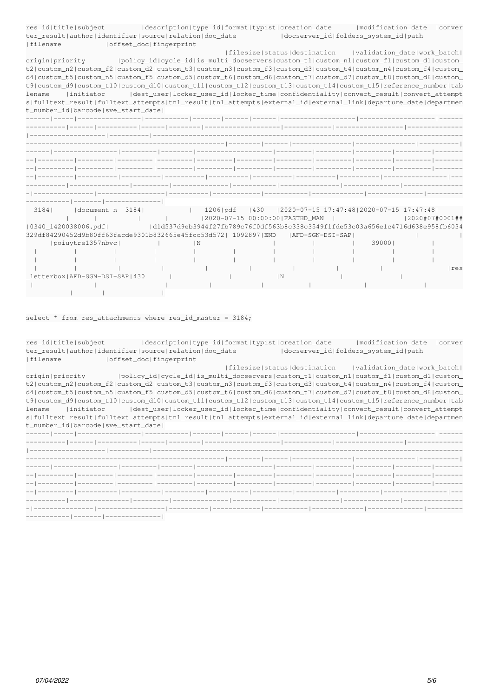| res id title subject                                                                                                     |                                                                                                | description type_id format typist creation_date  modification_date |  |                                                         |                | conver |
|--------------------------------------------------------------------------------------------------------------------------|------------------------------------------------------------------------------------------------|--------------------------------------------------------------------|--|---------------------------------------------------------|----------------|--------|
| ter result author identifier source relation doc date  docserver id folders system id path                               |                                                                                                |                                                                    |  |                                                         |                |        |
| Ifilename                                                                                                                | offset doc fingerprint                                                                         |                                                                    |  |                                                         |                |        |
|                                                                                                                          |                                                                                                |                                                                    |  | filesize status destination  validation date work batch |                |        |
| origin   priority   policy_id   cycle_id   is_multi_docservers   custom_t1   custom_n1   custom_f1   custom_d1   custom_ |                                                                                                |                                                                    |  |                                                         |                |        |
| t2 custom_n2 custom_f2 custom_d2 custom_t3 custom_n3 custom_f3 custom_d3 custom_t4 custom_n4 custom_f4 custom_           |                                                                                                |                                                                    |  |                                                         |                |        |
| d4 custom_t5 custom_n5 custom_f5 custom_d5 custom_t6 custom_d6 custom_t7 custom_d7 custom_t8 custom_d8 custom_           |                                                                                                |                                                                    |  |                                                         |                |        |
| t9 custom_d9 custom_t10 custom_d10 custom_t11 custom_t12 custom_t13 custom_t14 custom_t15 reference_number tab           |                                                                                                |                                                                    |  |                                                         |                |        |
| lename                                                                                                                   | initiator  dest_user locker_user_id locker_time confidentiality convert_result convert_attempt |                                                                    |  |                                                         |                |        |
| s fulltext_result fulltext_attempts tnl_result tnl_attempts external_id external_link departure_date departmen           |                                                                                                |                                                                    |  |                                                         |                |        |
| t number id barcode sve start date                                                                                       |                                                                                                |                                                                    |  |                                                         |                |        |
|                                                                                                                          |                                                                                                |                                                                    |  |                                                         |                |        |
|                                                                                                                          |                                                                                                |                                                                    |  |                                                         |                |        |
|                                                                                                                          |                                                                                                |                                                                    |  |                                                         |                |        |
|                                                                                                                          |                                                                                                |                                                                    |  |                                                         |                |        |
|                                                                                                                          |                                                                                                |                                                                    |  |                                                         |                |        |
|                                                                                                                          |                                                                                                |                                                                    |  |                                                         |                |        |
|                                                                                                                          |                                                                                                |                                                                    |  |                                                         |                |        |
|                                                                                                                          |                                                                                                |                                                                    |  |                                                         |                |        |
|                                                                                                                          |                                                                                                |                                                                    |  |                                                         |                |        |
|                                                                                                                          |                                                                                                |                                                                    |  |                                                         |                |        |
|                                                                                                                          |                                                                                                |                                                                    |  |                                                         |                |        |
| 3184   document n 3184   1206   pdf   430   2020-07-15 17:47:48   2020-07-15 17:47:48                                    |                                                                                                |                                                                    |  |                                                         |                |        |
|                                                                                                                          |                                                                                                |                                                                    |  |                                                         | 2020#07#0001## |        |
| l0340 1420038006.pdfl d1d537d9eb3944f27fb789c76f0df563b8c338c3549f1fde53c03a656e1c4716d638e958fb6034                     |                                                                                                |                                                                    |  |                                                         |                |        |
| 329df84290452d9b80ff63facde9301b832665e45fcc53d572  1092897 END  AFD-SGN-DSI-SAP                                         |                                                                                                |                                                                    |  |                                                         |                |        |
| poiuvtre1357nbvc                                                                                                         | $\mathbb{N}$ and $\mathbb{N}$                                                                  |                                                                    |  | 390001                                                  |                |        |
|                                                                                                                          |                                                                                                |                                                                    |  |                                                         |                |        |

| poiuytre1357nbvc               |  | . N |     |  | 390001 |     |
|--------------------------------|--|-----|-----|--|--------|-----|
|                                |  |     |     |  |        |     |
|                                |  |     |     |  |        |     |
|                                |  |     |     |  |        | res |
| _letterbox AFD-SGN-DSI-SAP 430 |  |     | l N |  |        |     |
|                                |  |     |     |  |        |     |
|                                |  |     |     |  |        |     |

#### select \* from res\_attachments where res\_id\_master = 3184;

res\_id|title|subject |description|type\_id|format|typist|creation\_date |modification\_date |conver ter\_result|author|identifier|source|relation|doc\_date |docserver\_id|folders\_system\_id|path<br>|filename |offset doc|fingerprint |offset\_doc|fingerprint

 |filesize|status|destination |validation\_date|work\_batch| origin|priority |policy\_id|cycle\_id|is\_multi\_docservers|custom\_t1|custom\_n1|custom\_f1|custom\_d1|custom\_ t2|custom\_n2|custom\_f2|custom\_d2|custom\_t3|custom\_n3|custom\_f3|custom\_d3|custom\_t4|custom\_n4|custom\_f4|custom\_ d4|custom\_t5|custom\_n5|custom\_f5|custom\_d5|custom\_t6|custom\_d6|custom\_t7|custom\_d7|custom\_t8|custom\_d8|custom\_ t9|custom\_d9|custom\_t10|custom\_d10|custom\_t11|custom\_t12|custom\_t13|custom\_t14|custom\_t15|reference\_number|tab lename |initiator |dest\_user|locker\_user\_id|locker\_time|confidentiality|convert\_result|convert\_attempt s|fulltext\_result|fulltext\_attempts|tnl\_result|tnl\_attempts|external\_id|external\_link|departure\_date|departmen t\_number\_id|barcode|sve\_start\_date|